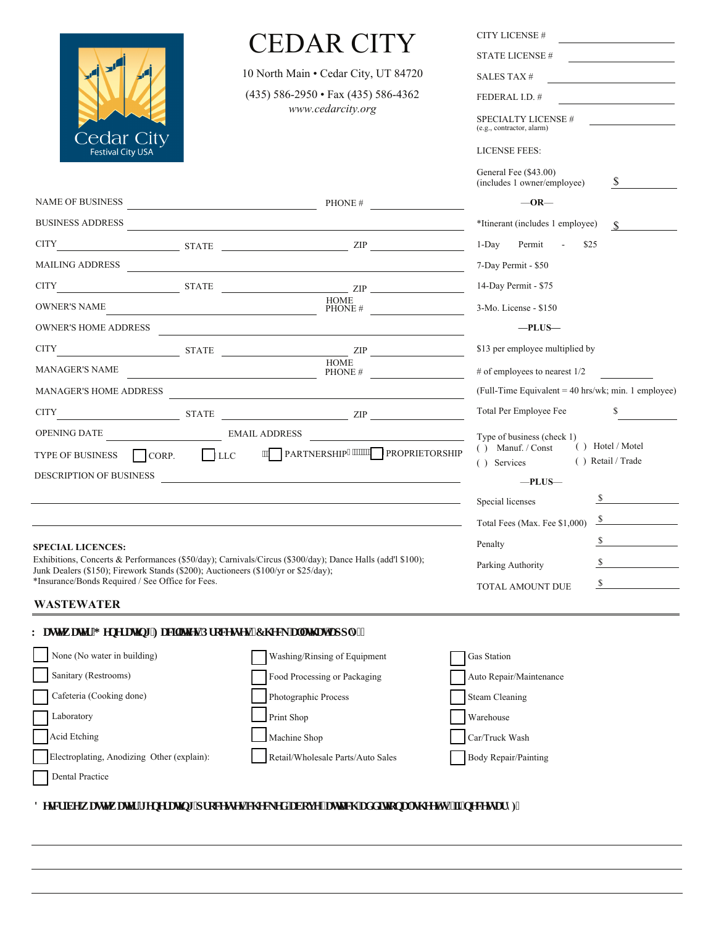|                                                                                                                                        | EDAR CITY                         |                                                                 | <b>CITY LICENSE #</b>                                                         |
|----------------------------------------------------------------------------------------------------------------------------------------|-----------------------------------|-----------------------------------------------------------------|-------------------------------------------------------------------------------|
| <b>Cedar City</b>                                                                                                                      |                                   |                                                                 | <b>STATE LICENSE#</b>                                                         |
|                                                                                                                                        |                                   | 10 North Main · Cedar City, UT 84720                            | SALES TAX#                                                                    |
|                                                                                                                                        |                                   | $(435)$ 586-2950 • Fax (435) 586-4362                           | FEDERAL I.D. #                                                                |
|                                                                                                                                        | www.cedarcity.org                 | <b>SPECIALTY LICENSE #</b><br>(e.g., contractor, alarm)         |                                                                               |
| <b>Festival City USA</b>                                                                                                               |                                   |                                                                 | <b>LICENSE FEES:</b>                                                          |
|                                                                                                                                        |                                   |                                                                 | General Fee (\$43.00)<br><sup>S</sup><br>(includes 1 owner/employee)          |
|                                                                                                                                        |                                   | NAME OF BUSINESS PHONE #                                        | $-OR-$                                                                        |
|                                                                                                                                        |                                   | BUSINESS ADDRESS                                                | *Itinerant (includes 1 employee)<br>$\mathbf S$                               |
|                                                                                                                                        |                                   | CITY STATE ZIP                                                  | $1$ -Day<br>Permit<br>$\sim$<br>\$25                                          |
|                                                                                                                                        |                                   | MAILING ADDRESS                                                 | 7-Day Permit - \$50                                                           |
|                                                                                                                                        |                                   | CITY STATE ZIP                                                  | 14-Day Permit - \$75                                                          |
| OWNER'S NAME                                                                                                                           |                                   | <b>HOME</b><br>$PHONE \#$                                       | 3-Mo. License - \$150                                                         |
| <b>OWNER'S HOME ADDRESS</b>                                                                                                            |                                   | <u> 1989 - Johann Stein, mars an deutscher Stein († 1958)</u>   | $-$ PLUS $-$                                                                  |
|                                                                                                                                        |                                   | CITY STATE ZIP                                                  | \$13 per employee multiplied by                                               |
| <b>MANAGER'S NAME</b>                                                                                                                  |                                   | HOME<br>PHONE #                                                 | # of employees to nearest $1/2$                                               |
| <b>MANAGER'S HOME ADDRESS</b>                                                                                                          |                                   |                                                                 | (Full-Time Equivalent = $40$ hrs/wk; min. 1 employee)                         |
|                                                                                                                                        |                                   | $CITY$ $ZIP$                                                    | Total Per Employee Fee<br>S.                                                  |
|                                                                                                                                        |                                   |                                                                 | Type of business (check 1)                                                    |
|                                                                                                                                        |                                   | TYPE OF BUSINESS CORP. CORP. LLC TRARTNERSHIP""""TROPRIETORSHIP | () Hotel / Motel<br>$( )$ Manuf. / Const<br>() Retail / Trade<br>( ) Services |
| DESCRIPTION OF BUSINESS                                                                                                                |                                   |                                                                 | $-$ PLUS $-$                                                                  |
|                                                                                                                                        |                                   |                                                                 | $\sim$ $\sim$<br>Special licenses                                             |
|                                                                                                                                        |                                   |                                                                 | $\sim$<br>Total Fees (Max. Fee \$1,000)                                       |
|                                                                                                                                        |                                   |                                                                 | $\mathcal{S}$<br>Penalty                                                      |
| <b>SPECIAL LICENCES:</b><br>Exhibitions, Concerts & Performances (\$50/day); Carnivals/Circus (\$300/day); Dance Halls (add'l \$100);  | $\mathbb{S}$<br>Parking Authority |                                                                 |                                                                               |
| Junk Dealers (\$150); Firework Stands (\$200); Auctioneers (\$100/yr or \$25/day);<br>*Insurance/Bonds Required / See Office for Fees. |                                   |                                                                 | $\sim$                                                                        |
|                                                                                                                                        | TOTAL AMOUNT DUE                  |                                                                 |                                                                               |

## **WASTEWATER**

## $\mathbf Y$ cuvgy cvgt 'I gpgt cvkpi 'Hcelvlolgu**R**t qegungu'\*Ej geničnivj cv'črrn( $\prec$

| None (No water in building)                | Washing/Rinsing of Equipment      | <b>Gas Station</b>      |
|--------------------------------------------|-----------------------------------|-------------------------|
| Sanitary (Restrooms)                       | Food Processing or Packaging      | Auto Repair/Maintenance |
| Cafeteria (Cooking done)                   | Photographic Process              | <b>Steam Cleaning</b>   |
| Laboratory                                 | Print Shop                        | Warehouse               |
| Acid Etching                               | Machine Shop                      | Car/Truck Wash          |
| Electroplating, Anodizing Other (explain): | Retail/Wholesale Parts/Auto Sales | Body Repair/Painting    |
| Dental Practice                            |                                   |                         |

F guet klg'y cuyy cugt 'i gpgt cupi 'r t qeguugu'ej gengf 'cdqxg'\*cwcej 'cf f kkpcniuj ggv\*u+'kipgeguuct { )<